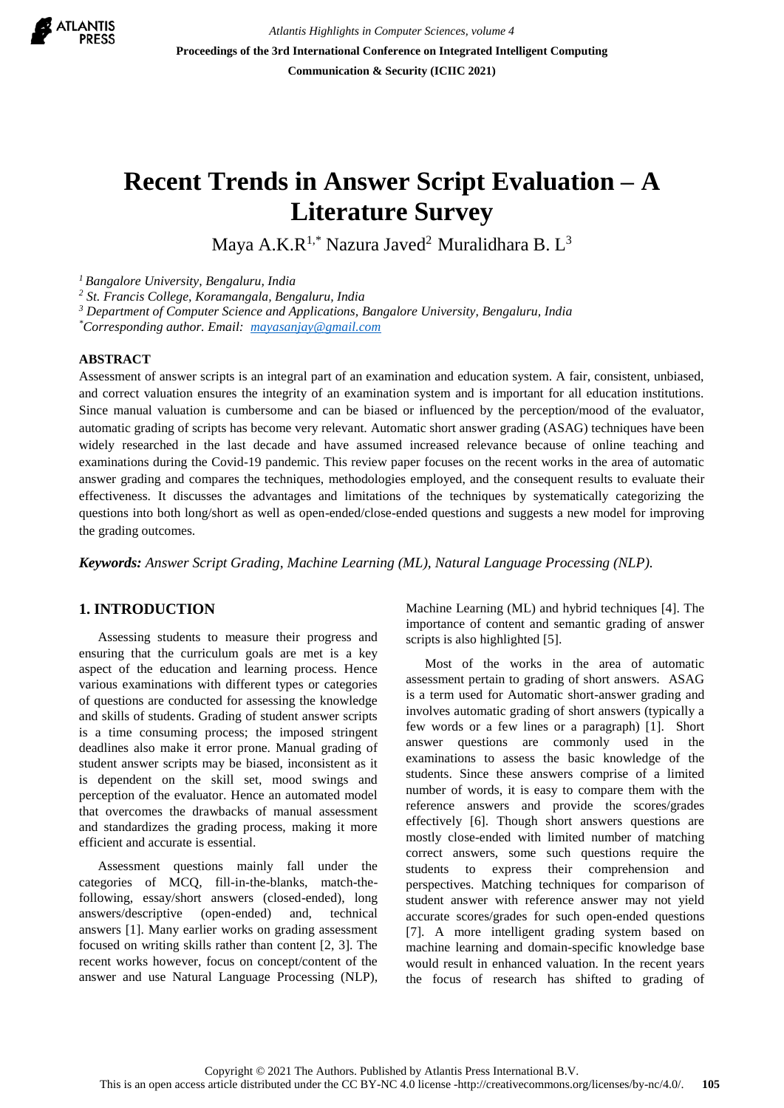

*Atlantis Highlights in Computer Sciences, volume 4* **Proceedings of the 3rd International Conference on Integrated Intelligent Computing Communication & Security (ICIIC 2021)**

# **Recent Trends in Answer Script Evaluation – A Literature Survey**

Maya A.K. $R^{1,*}$  Nazura Javed<sup>2</sup> Muralidhara B. L<sup>3</sup>

*<sup>1</sup>Bangalore University, Bengaluru, India*

*<sup>2</sup> St. Francis College, Koramangala, Bengaluru, India* 

*<sup>3</sup> Department of Computer Science and Applications, Bangalore University, Bengaluru, India*

*\*Corresponding author. Email: [mayasanjay@gmail.com](mailto:mayasanjay@gmail.com)*

#### **ABSTRACT**

Assessment of answer scripts is an integral part of an examination and education system. A fair, consistent, unbiased, and correct valuation ensures the integrity of an examination system and is important for all education institutions. Since manual valuation is cumbersome and can be biased or influenced by the perception/mood of the evaluator, automatic grading of scripts has become very relevant. Automatic short answer grading (ASAG) techniques have been widely researched in the last decade and have assumed increased relevance because of online teaching and examinations during the Covid-19 pandemic. This review paper focuses on the recent works in the area of automatic answer grading and compares the techniques, methodologies employed, and the consequent results to evaluate their effectiveness. It discusses the advantages and limitations of the techniques by systematically categorizing the questions into both long/short as well as open-ended/close-ended questions and suggests a new model for improving the grading outcomes.

*Keywords: Answer Script Grading, Machine Learning (ML), Natural Language Processing (NLP).*

### **1. INTRODUCTION**

Assessing students to measure their progress and ensuring that the curriculum goals are met is a key aspect of the education and learning process. Hence various examinations with different types or categories of questions are conducted for assessing the knowledge and skills of students. Grading of student answer scripts is a time consuming process; the imposed stringent deadlines also make it error prone. Manual grading of student answer scripts may be biased, inconsistent as it is dependent on the skill set, mood swings and perception of the evaluator. Hence an automated model that overcomes the drawbacks of manual assessment and standardizes the grading process, making it more efficient and accurate is essential.

Assessment questions mainly fall under the categories of MCQ, fill-in-the-blanks, match-thefollowing, essay/short answers (closed-ended), long answers/descriptive (open-ended) and, technical answers [1]. Many earlier works on grading assessment focused on writing skills rather than content [2, 3]. The recent works however, focus on concept/content of the answer and use Natural Language Processing (NLP), Machine Learning (ML) and hybrid techniques [4]. The importance of content and semantic grading of answer scripts is also highlighted [5].

Most of the works in the area of automatic assessment pertain to grading of short answers. ASAG is a term used for Automatic short-answer grading and involves automatic grading of short answers (typically a few words or a few lines or a paragraph) [1]. Short answer questions are commonly used in the examinations to assess the basic knowledge of the students. Since these answers comprise of a limited number of words, it is easy to compare them with the reference answers and provide the scores/grades effectively [6]. Though short answers questions are mostly close-ended with limited number of matching correct answers, some such questions require the students to express their comprehension and perspectives. Matching techniques for comparison of student answer with reference answer may not yield accurate scores/grades for such open-ended questions [7]. A more intelligent grading system based on machine learning and domain-specific knowledge base would result in enhanced valuation. In the recent years the focus of research has shifted to grading of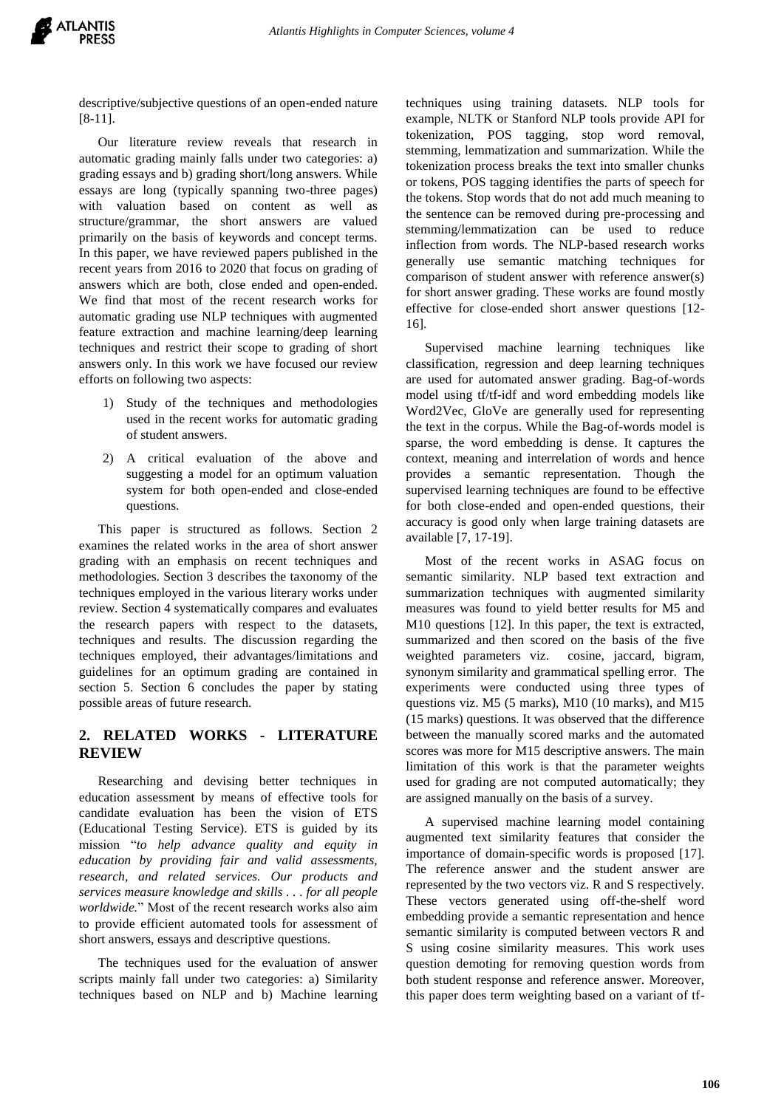

descriptive/subjective questions of an open-ended nature [8-11].

Our literature review reveals that research in automatic grading mainly falls under two categories: a) grading essays and b) grading short/long answers. While essays are long (typically spanning two-three pages) with valuation based on content as well as structure/grammar, the short answers are valued primarily on the basis of keywords and concept terms. In this paper, we have reviewed papers published in the recent years from 2016 to 2020 that focus on grading of answers which are both, close ended and open-ended. We find that most of the recent research works for automatic grading use NLP techniques with augmented feature extraction and machine learning/deep learning techniques and restrict their scope to grading of short answers only. In this work we have focused our review efforts on following two aspects:

- 1) Study of the techniques and methodologies used in the recent works for automatic grading of student answers.
- 2) A critical evaluation of the above and suggesting a model for an optimum valuation system for both open-ended and close-ended questions.

This paper is structured as follows. Section 2 examines the related works in the area of short answer grading with an emphasis on recent techniques and methodologies. Section 3 describes the taxonomy of the techniques employed in the various literary works under review. Section 4 systematically compares and evaluates the research papers with respect to the datasets, techniques and results. The discussion regarding the techniques employed, their advantages/limitations and guidelines for an optimum grading are contained in section 5. Section 6 concludes the paper by stating possible areas of future research.

## **2. RELATED WORKS - LITERATURE REVIEW**

Researching and devising better techniques in education assessment by means of effective tools for candidate evaluation has been the vision of ETS (Educational Testing Service). ETS is guided by its mission "*to help advance quality and equity in education by providing fair and valid assessments, research, and related services. Our products and services measure knowledge and skills . . . for all people worldwide.*" Most of the recent research works also aim to provide efficient automated tools for assessment of short answers, essays and descriptive questions.

The techniques used for the evaluation of answer scripts mainly fall under two categories: a) Similarity techniques based on NLP and b) Machine learning techniques using training datasets. NLP tools for example, NLTK or Stanford NLP tools provide API for tokenization, POS tagging, stop word removal, stemming, lemmatization and summarization. While the tokenization process breaks the text into smaller chunks or tokens, POS tagging identifies the parts of speech for the tokens. Stop words that do not add much meaning to the sentence can be removed during pre-processing and stemming/lemmatization can be used to reduce inflection from words. The NLP-based research works generally use semantic matching techniques for comparison of student answer with reference answer(s) for short answer grading. These works are found mostly effective for close-ended short answer questions [12- 16].

Supervised machine learning techniques like classification, regression and deep learning techniques are used for automated answer grading. Bag-of-words model using tf/tf-idf and word embedding models like Word2Vec, GloVe are generally used for representing the text in the corpus. While the Bag-of-words model is sparse, the word embedding is dense. It captures the context, meaning and interrelation of words and hence provides a semantic representation. Though the supervised learning techniques are found to be effective for both close-ended and open-ended questions, their accuracy is good only when large training datasets are available [7, 17-19].

Most of the recent works in ASAG focus on semantic similarity. NLP based text extraction and summarization techniques with augmented similarity measures was found to yield better results for M5 and M10 questions [12]. In this paper, the text is extracted, summarized and then scored on the basis of the five weighted parameters viz. cosine, jaccard, bigram, synonym similarity and grammatical spelling error. The experiments were conducted using three types of questions viz. M5 (5 marks), M10 (10 marks), and M15 (15 marks) questions. It was observed that the difference between the manually scored marks and the automated scores was more for M15 descriptive answers. The main limitation of this work is that the parameter weights used for grading are not computed automatically; they are assigned manually on the basis of a survey.

A supervised machine learning model containing augmented text similarity features that consider the importance of domain-specific words is proposed [17]. The reference answer and the student answer are represented by the two vectors viz. R and S respectively. These vectors generated using off-the-shelf word embedding provide a semantic representation and hence semantic similarity is computed between vectors R and S using cosine similarity measures. This work uses question demoting for removing question words from both student response and reference answer. Moreover, this paper does term weighting based on a variant of tf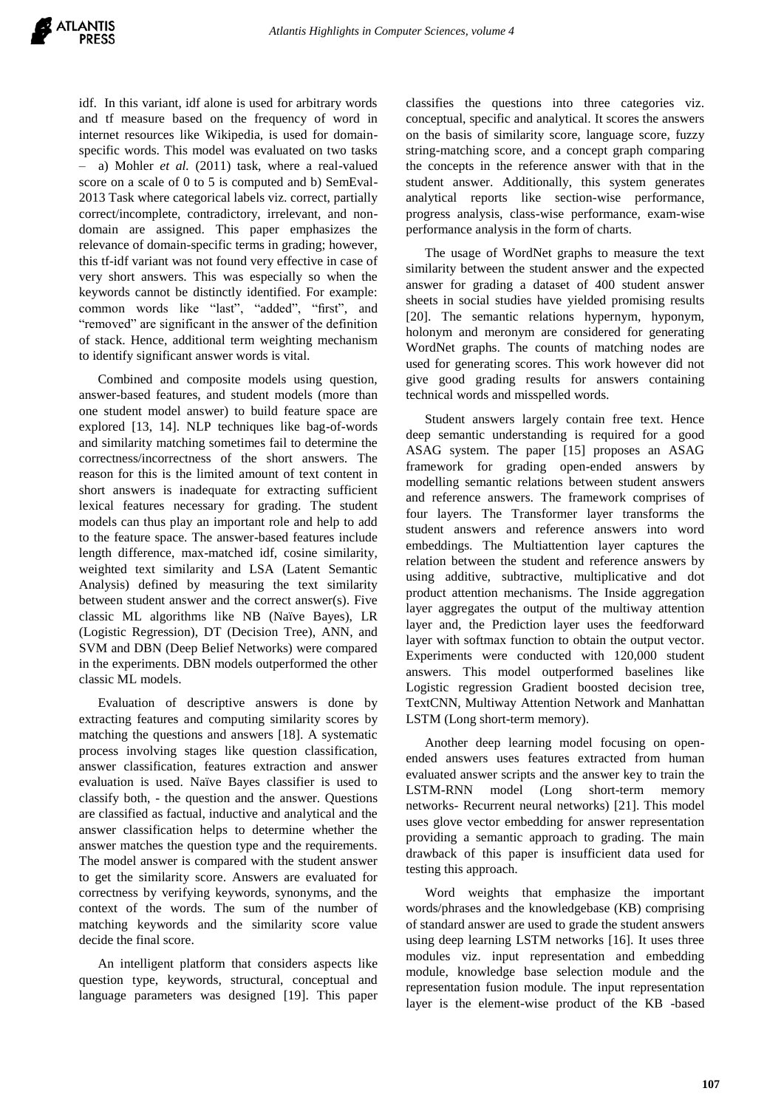idf. In this variant, idf alone is used for arbitrary words and tf measure based on the frequency of word in internet resources like Wikipedia, is used for domainspecific words. This model was evaluated on two tasks – a) Mohler *et al.* (2011) task, where a real-valued score on a scale of 0 to 5 is computed and b) SemEval-2013 Task where categorical labels viz. correct, partially correct/incomplete, contradictory, irrelevant, and nondomain are assigned. This paper emphasizes the relevance of domain-specific terms in grading; however, this tf-idf variant was not found very effective in case of very short answers. This was especially so when the keywords cannot be distinctly identified. For example: common words like "last", "added", "first", and "removed" are significant in the answer of the definition of stack. Hence, additional term weighting mechanism to identify significant answer words is vital.

Combined and composite models using question, answer-based features, and student models (more than one student model answer) to build feature space are explored [13, 14]. NLP techniques like bag-of-words and similarity matching sometimes fail to determine the correctness/incorrectness of the short answers. The reason for this is the limited amount of text content in short answers is inadequate for extracting sufficient lexical features necessary for grading. The student models can thus play an important role and help to add to the feature space. The answer-based features include length difference, max-matched idf, cosine similarity, weighted text similarity and LSA (Latent Semantic Analysis) defined by measuring the text similarity between student answer and the correct answer(s). Five classic ML algorithms like NB (Naïve Bayes), LR (Logistic Regression), DT (Decision Tree), ANN, and SVM and DBN (Deep Belief Networks) were compared in the experiments. DBN models outperformed the other classic ML models.

Evaluation of descriptive answers is done by extracting features and computing similarity scores by matching the questions and answers [18]. A systematic process involving stages like question classification, answer classification, features extraction and answer evaluation is used. Naïve Bayes classifier is used to classify both, - the question and the answer. Questions are classified as factual, inductive and analytical and the answer classification helps to determine whether the answer matches the question type and the requirements. The model answer is compared with the student answer to get the similarity score. Answers are evaluated for correctness by verifying keywords, synonyms, and the context of the words. The sum of the number of matching keywords and the similarity score value decide the final score.

An intelligent platform that considers aspects like question type, keywords, structural, conceptual and language parameters was designed [19]. This paper classifies the questions into three categories viz. conceptual, specific and analytical. It scores the answers on the basis of similarity score, language score, fuzzy string-matching score, and a concept graph comparing the concepts in the reference answer with that in the student answer. Additionally, this system generates analytical reports like section-wise performance, progress analysis, class-wise performance, exam-wise performance analysis in the form of charts.

The usage of WordNet graphs to measure the text similarity between the student answer and the expected answer for grading a dataset of 400 student answer sheets in social studies have yielded promising results [20]. The semantic relations hypernym, hyponym, holonym and meronym are considered for generating WordNet graphs. The counts of matching nodes are used for generating scores. This work however did not give good grading results for answers containing technical words and misspelled words.

Student answers largely contain free text. Hence deep semantic understanding is required for a good ASAG system. The paper [15] proposes an ASAG framework for grading open-ended answers by modelling semantic relations between student answers and reference answers. The framework comprises of four layers. The Transformer layer transforms the student answers and reference answers into word embeddings. The Multiattention layer captures the relation between the student and reference answers by using additive, subtractive, multiplicative and dot product attention mechanisms. The Inside aggregation layer aggregates the output of the multiway attention layer and, the Prediction layer uses the feedforward layer with softmax function to obtain the output vector. Experiments were conducted with 120,000 student answers. This model outperformed baselines like Logistic regression Gradient boosted decision tree, TextCNN, Multiway Attention Network and Manhattan LSTM (Long short-term memory).

Another deep learning model focusing on openended answers uses features extracted from human evaluated answer scripts and the answer key to train the LSTM-RNN model (Long short-term memory networks- Recurrent neural networks) [21]. This model uses glove vector embedding for answer representation providing a semantic approach to grading. The main drawback of this paper is insufficient data used for testing this approach.

Word weights that emphasize the important words/phrases and the knowledgebase (KB) comprising of standard answer are used to grade the student answers using deep learning LSTM networks [16]. It uses three modules viz. input representation and embedding module, knowledge base selection module and the representation fusion module. The input representation layer is the element-wise product of the KB -based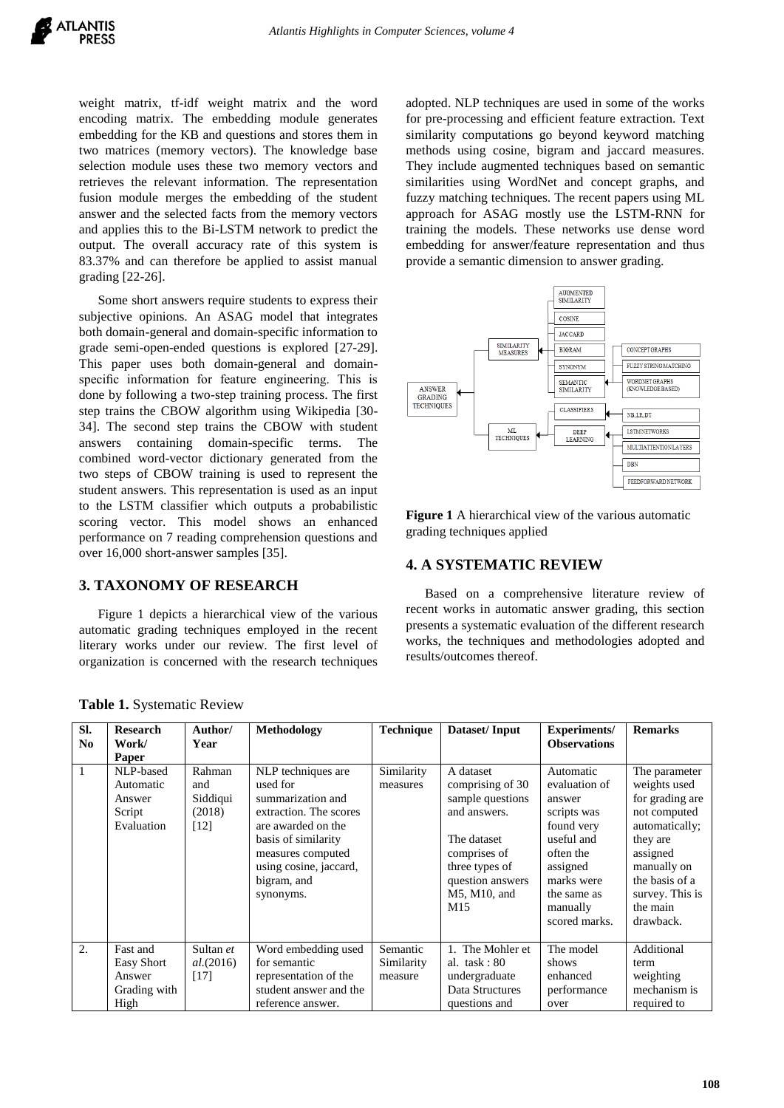weight matrix, tf-idf weight matrix and the word encoding matrix. The embedding module generates embedding for the KB and questions and stores them in two matrices (memory vectors). The knowledge base selection module uses these two memory vectors and retrieves the relevant information. The representation fusion module merges the embedding of the student answer and the selected facts from the memory vectors and applies this to the Bi-LSTM network to predict the output. The overall accuracy rate of this system is 83.37% and can therefore be applied to assist manual grading [22-26].

Some short answers require students to express their subjective opinions. An ASAG model that integrates both domain-general and domain-specific information to grade semi-open-ended questions is explored [27-29]. This paper uses both domain-general and domainspecific information for feature engineering. This is done by following a two-step training process. The first step trains the CBOW algorithm using Wikipedia [30- 34]. The second step trains the CBOW with student answers containing domain-specific terms. The combined word-vector dictionary generated from the two steps of CBOW training is used to represent the student answers. This representation is used as an input to the LSTM classifier which outputs a probabilistic scoring vector. This model shows an enhanced performance on 7 reading comprehension questions and over 16,000 short-answer samples [35].

#### **3. TAXONOMY OF RESEARCH**

Figure 1 depicts a hierarchical view of the various automatic grading techniques employed in the recent literary works under our review. The first level of organization is concerned with the research techniques

adopted. NLP techniques are used in some of the works for pre-processing and efficient feature extraction. Text similarity computations go beyond keyword matching methods using cosine, bigram and jaccard measures. They include augmented techniques based on semantic similarities using WordNet and concept graphs, and fuzzy matching techniques. The recent papers using ML approach for ASAG mostly use the LSTM-RNN for training the models. These networks use dense word embedding for answer/feature representation and thus provide a semantic dimension to answer grading.



**Figure 1** A hierarchical view of the various automatic grading techniques applied

#### **4. A SYSTEMATIC REVIEW**

Based on a comprehensive literature review of recent works in automatic answer grading, this section presents a systematic evaluation of the different research works, the techniques and methodologies adopted and results/outcomes thereof.

| SI.<br>N <sub>0</sub> | <b>Research</b><br>Work/<br>Paper                               | Author/<br>Year                             | Methodology                                                                                                                                                                                           | <b>Technique</b>                  | Dataset/Input                                                                                                                                                 | <b>Experiments/</b><br><b>Observations</b>                                                                                                                         | <b>Remarks</b>                                                                                                                                                                          |
|-----------------------|-----------------------------------------------------------------|---------------------------------------------|-------------------------------------------------------------------------------------------------------------------------------------------------------------------------------------------------------|-----------------------------------|---------------------------------------------------------------------------------------------------------------------------------------------------------------|--------------------------------------------------------------------------------------------------------------------------------------------------------------------|-----------------------------------------------------------------------------------------------------------------------------------------------------------------------------------------|
| 1                     | NLP-based<br>Automatic<br>Answer<br>Script<br>Evaluation        | Rahman<br>and<br>Siddiqui<br>(2018)<br>[12] | NLP techniques are<br>used for<br>summarization and<br>extraction. The scores<br>are awarded on the<br>basis of similarity<br>measures computed<br>using cosine, jaccard,<br>bigram, and<br>synonyms. | Similarity<br>measures            | A dataset<br>comprising of 30<br>sample questions<br>and answers.<br>The dataset<br>comprises of<br>three types of<br>question answers<br>M5, M10, and<br>M15 | Automatic<br>evaluation of<br>answer<br>scripts was<br>found very<br>useful and<br>often the<br>assigned<br>marks were<br>the same as<br>manually<br>scored marks. | The parameter<br>weights used<br>for grading are<br>not computed<br>automatically;<br>they are<br>assigned<br>manually on<br>the basis of a<br>survey. This is<br>the main<br>drawback. |
| 2.                    | Fast and<br><b>Easy Short</b><br>Answer<br>Grading with<br>High | Sultan et<br>al. (2016)<br>$[17]$           | Word embedding used<br>for semantic<br>representation of the<br>student answer and the<br>reference answer.                                                                                           | Semantic<br>Similarity<br>measure | 1. The Mohler et<br>al. $task: 80$<br>undergraduate<br>Data Structures<br>questions and                                                                       | The model<br>shows<br>enhanced<br>performance<br>over                                                                                                              | Additional<br>term<br>weighting<br>mechanism is<br>required to                                                                                                                          |

**Table 1.** Systematic Review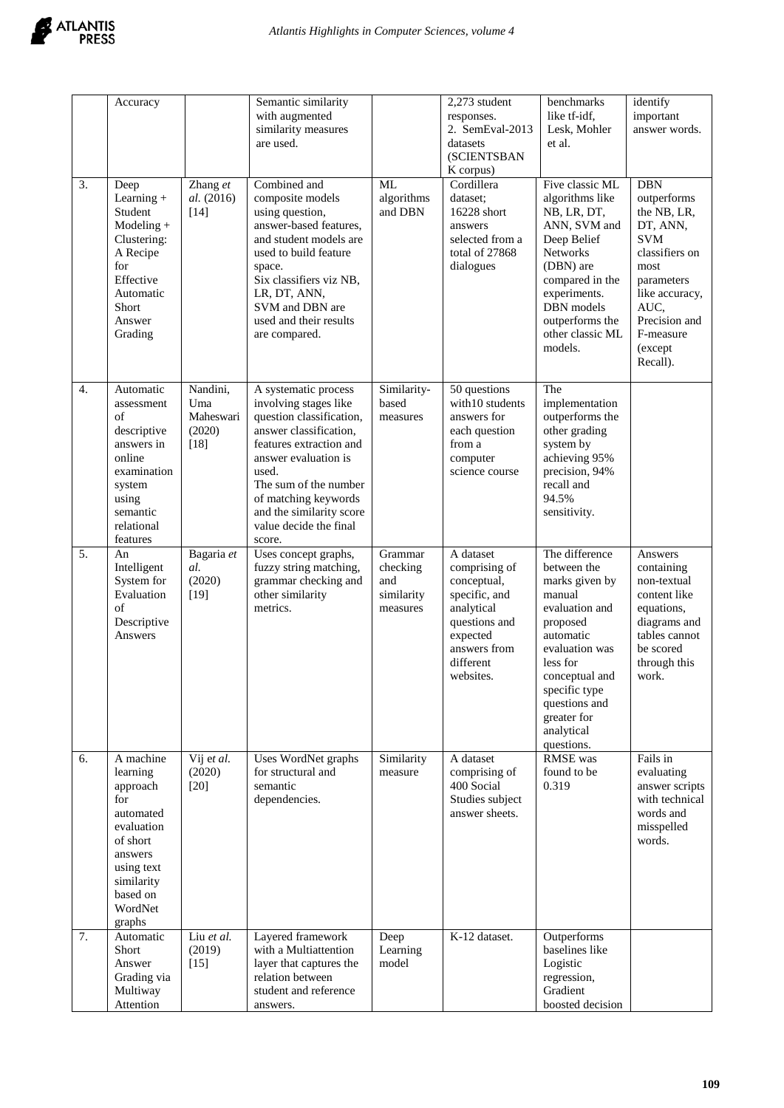

| $\overline{3}$ . | Accuracy<br>Deep<br>Learning $+$<br>Student<br>$Modeling +$<br>Clustering:<br>A Recipe<br>for<br>Effective<br>Automatic<br>Short<br>Answer<br>Grading   | Zhang et<br>al. (2016)<br>$[14]$                 | Semantic similarity<br>with augmented<br>similarity measures<br>are used.<br>Combined and<br>composite models<br>using question,<br>answer-based features,<br>and student models are<br>used to build feature<br>space.<br>Six classifiers viz NB,<br>LR, DT, ANN,<br>SVM and DBN are<br>used and their results<br>are compared. | <b>ML</b><br>algorithms<br>and DBN                   | 2,273 student<br>responses.<br>2. SemEval-2013<br>datasets<br>(SCIENTSBAN<br>K corpus)<br>Cordillera<br>dataset:<br>16228 short<br>answers<br>selected from a<br>total of 27868<br>dialogues | benchmarks<br>like tf-idf,<br>Lesk, Mohler<br>et al.<br>Five classic ML<br>algorithms like<br>NB, LR, DT,<br>ANN, SVM and<br>Deep Belief<br><b>Networks</b><br>(DBN) are<br>compared in the<br>experiments.<br>DBN models<br>outperforms the<br>other classic ML<br>models. | identify<br>important<br>answer words.<br><b>DBN</b><br>outperforms<br>the NB, LR,<br>DT, ANN,<br><b>SVM</b><br>classifiers on<br>most<br>parameters<br>like accuracy,<br>AUC,<br>Precision and<br>F-measure<br>(except<br>Recall). |
|------------------|---------------------------------------------------------------------------------------------------------------------------------------------------------|--------------------------------------------------|----------------------------------------------------------------------------------------------------------------------------------------------------------------------------------------------------------------------------------------------------------------------------------------------------------------------------------|------------------------------------------------------|----------------------------------------------------------------------------------------------------------------------------------------------------------------------------------------------|-----------------------------------------------------------------------------------------------------------------------------------------------------------------------------------------------------------------------------------------------------------------------------|-------------------------------------------------------------------------------------------------------------------------------------------------------------------------------------------------------------------------------------|
| 4.               | Automatic<br>assessment<br>of<br>descriptive<br>answers in<br>online<br>examination<br>system<br>using<br>semantic<br>relational<br>features            | Nandini,<br>Uma<br>Maheswari<br>(2020)<br>$[18]$ | A systematic process<br>involving stages like<br>question classification,<br>answer classification,<br>features extraction and<br>answer evaluation is<br>used.<br>The sum of the number<br>of matching keywords<br>and the similarity score<br>value decide the final<br>score.                                                 | Similarity-<br>based<br>measures                     | 50 questions<br>with 10 students<br>answers for<br>each question<br>from a<br>computer<br>science course                                                                                     | The<br>implementation<br>outperforms the<br>other grading<br>system by<br>achieving 95%<br>precision, 94%<br>recall and<br>94.5%<br>sensitivity.                                                                                                                            |                                                                                                                                                                                                                                     |
| 5.               | An<br>Intelligent<br>System for<br>Evaluation<br>of<br>Descriptive<br>Answers                                                                           | Bagaria et<br>al.<br>(2020)<br>$[19]$            | Uses concept graphs,<br>fuzzy string matching,<br>grammar checking and<br>other similarity<br>metrics.                                                                                                                                                                                                                           | Grammar<br>checking<br>and<br>similarity<br>measures | A dataset<br>comprising of<br>conceptual,<br>specific, and<br>analytical<br>questions and<br>expected<br>answers from<br>different<br>websites.                                              | The difference<br>between the<br>marks given by<br>manual<br>evaluation and<br>proposed<br>automatic<br>evaluation was<br>less for<br>conceptual and<br>specific type<br>questions and<br>greater for<br>analytical<br>questions.                                           | Answers<br>containing<br>non-textual<br>content like<br>equations,<br>diagrams and<br>tables cannot<br>be scored<br>through this<br>work.                                                                                           |
| 6.               | A machine<br>learning<br>approach<br>for<br>automated<br>evaluation<br>of short<br>answers<br>using text<br>similarity<br>based on<br>WordNet<br>graphs | Vij et al.<br>(2020)<br>$[20]$                   | Uses WordNet graphs<br>for structural and<br>semantic<br>dependencies.                                                                                                                                                                                                                                                           | Similarity<br>measure                                | A dataset<br>comprising of<br>400 Social<br>Studies subject<br>answer sheets.                                                                                                                | RMSE was<br>found to be<br>0.319                                                                                                                                                                                                                                            | Fails in<br>evaluating<br>answer scripts<br>with technical<br>words and<br>misspelled<br>words.                                                                                                                                     |
| 7.               | Automatic<br>Short<br>Answer<br>Grading via<br>Multiway<br>Attention                                                                                    | Liu et al.<br>(2019)<br>$[15]$                   | Layered framework<br>with a Multiattention<br>layer that captures the<br>relation between<br>student and reference<br>answers.                                                                                                                                                                                                   | Deep<br>Learning<br>model                            | K-12 dataset.                                                                                                                                                                                | Outperforms<br>baselines like<br>Logistic<br>regression,<br>Gradient<br>boosted decision                                                                                                                                                                                    |                                                                                                                                                                                                                                     |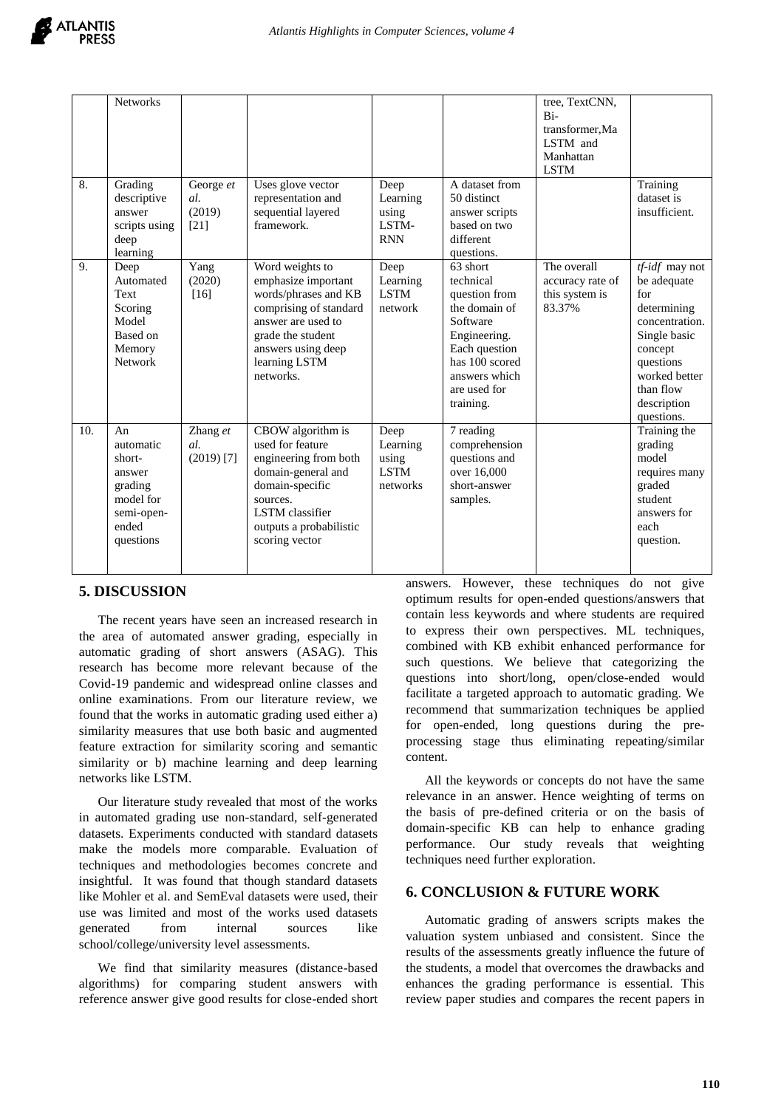|     | <b>Networks</b>                                                                                 |                                      |                                                                                                                                                                                            |                                                      |                                                                                                                                                                      | tree, TextCNN,<br>$Bi-$<br>transformer.Ma<br>LSTM and<br>Manhattan<br><b>LSTM</b> |                                                                                                                                                                                              |
|-----|-------------------------------------------------------------------------------------------------|--------------------------------------|--------------------------------------------------------------------------------------------------------------------------------------------------------------------------------------------|------------------------------------------------------|----------------------------------------------------------------------------------------------------------------------------------------------------------------------|-----------------------------------------------------------------------------------|----------------------------------------------------------------------------------------------------------------------------------------------------------------------------------------------|
| 8.  | Grading<br>descriptive<br>answer<br>scripts using<br>deep<br>learning                           | George et<br>al.<br>(2019)<br>$[21]$ | Uses glove vector<br>representation and<br>sequential layered<br>framework.                                                                                                                | Deep<br>Learning<br>using<br>LSTM-<br><b>RNN</b>     | A dataset from<br>50 distinct<br>answer scripts<br>based on two<br>different<br>questions.                                                                           |                                                                                   | Training<br>dataset is<br>insufficient.                                                                                                                                                      |
| 9.  | Deep<br>Automated<br>Text<br>Scoring<br>Model<br>Based on<br>Memory<br><b>Network</b>           | Yang<br>(2020)<br>$[16]$             | Word weights to<br>emphasize important<br>words/phrases and KB<br>comprising of standard<br>answer are used to<br>grade the student<br>answers using deep<br>learning LSTM<br>networks.    | Deep<br>Learning<br><b>LSTM</b><br>network           | 63 short<br>technical<br>question from<br>the domain of<br>Software<br>Engineering.<br>Each question<br>has 100 scored<br>answers which<br>are used for<br>training. | The overall<br>accuracy rate of<br>this system is<br>83.37%                       | $\overline{tf\text{-}idf}$ may not<br>be adequate<br>for<br>determining<br>concentration.<br>Single basic<br>concept<br>questions<br>worked better<br>than flow<br>description<br>questions. |
| 10. | An<br>automatic<br>short-<br>answer<br>grading<br>model for<br>semi-open-<br>ended<br>questions | Zhang et<br>al.<br>$(2019)$ [7]      | CBOW algorithm is<br>used for feature<br>engineering from both<br>domain-general and<br>domain-specific<br>sources.<br><b>LSTM</b> classifier<br>outputs a probabilistic<br>scoring vector | Deep<br>Learning<br>using<br><b>LSTM</b><br>networks | 7 reading<br>comprehension<br>questions and<br>over 16,000<br>short-answer<br>samples.                                                                               |                                                                                   | Training the<br>grading<br>model<br>requires many<br>graded<br>student<br>answers for<br>each<br>question.                                                                                   |

# **5. DISCUSSION**

The recent years have seen an increased research in the area of automated answer grading, especially in automatic grading of short answers (ASAG). This research has become more relevant because of the Covid-19 pandemic and widespread online classes and online examinations. From our literature review, we found that the works in automatic grading used either a) similarity measures that use both basic and augmented feature extraction for similarity scoring and semantic similarity or b) machine learning and deep learning networks like LSTM.

Our literature study revealed that most of the works in automated grading use non-standard, self-generated datasets. Experiments conducted with standard datasets make the models more comparable. Evaluation of techniques and methodologies becomes concrete and insightful. It was found that though standard datasets like Mohler et al. and SemEval datasets were used, their use was limited and most of the works used datasets generated from internal sources like school/college/university level assessments.

We find that similarity measures (distance-based algorithms) for comparing student answers with reference answer give good results for close-ended short answers. However, these techniques do not give optimum results for open-ended questions/answers that contain less keywords and where students are required to express their own perspectives. ML techniques, combined with KB exhibit enhanced performance for such questions. We believe that categorizing the questions into short/long, open/close-ended would facilitate a targeted approach to automatic grading. We recommend that summarization techniques be applied for open-ended, long questions during the preprocessing stage thus eliminating repeating/similar content.

All the keywords or concepts do not have the same relevance in an answer. Hence weighting of terms on the basis of pre-defined criteria or on the basis of domain-specific KB can help to enhance grading performance. Our study reveals that weighting techniques need further exploration.

# **6. CONCLUSION & FUTURE WORK**

Automatic grading of answers scripts makes the valuation system unbiased and consistent. Since the results of the assessments greatly influence the future of the students, a model that overcomes the drawbacks and enhances the grading performance is essential. This review paper studies and compares the recent papers in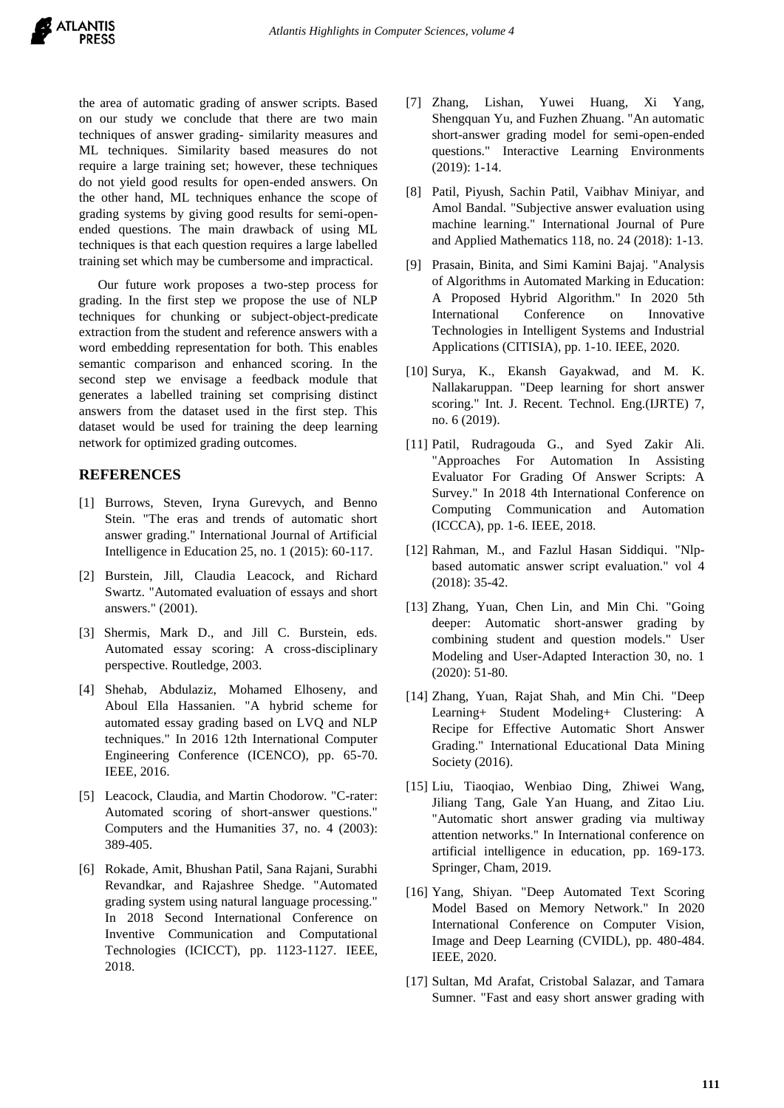the area of automatic grading of answer scripts. Based on our study we conclude that there are two main techniques of answer grading- similarity measures and ML techniques. Similarity based measures do not require a large training set; however, these techniques do not yield good results for open-ended answers. On the other hand, ML techniques enhance the scope of grading systems by giving good results for semi-openended questions. The main drawback of using ML techniques is that each question requires a large labelled training set which may be cumbersome and impractical.

Our future work proposes a two-step process for grading. In the first step we propose the use of NLP techniques for chunking or subject-object-predicate extraction from the student and reference answers with a word embedding representation for both. This enables semantic comparison and enhanced scoring. In the second step we envisage a feedback module that generates a labelled training set comprising distinct answers from the dataset used in the first step. This dataset would be used for training the deep learning network for optimized grading outcomes.

# **REFERENCES**

- [1] Burrows, Steven, Iryna Gurevych, and Benno Stein. "The eras and trends of automatic short answer grading." International Journal of Artificial Intelligence in Education 25, no. 1 (2015): 60-117.
- [2] Burstein, Jill, Claudia Leacock, and Richard Swartz. "Automated evaluation of essays and short answers." (2001).
- [3] Shermis, Mark D., and Jill C. Burstein, eds. Automated essay scoring: A cross-disciplinary perspective. Routledge, 2003.
- [4] Shehab, Abdulaziz, Mohamed Elhoseny, and Aboul Ella Hassanien. "A hybrid scheme for automated essay grading based on LVQ and NLP techniques." In 2016 12th International Computer Engineering Conference (ICENCO), pp. 65-70. IEEE, 2016.
- [5] Leacock, Claudia, and Martin Chodorow. "C-rater: Automated scoring of short-answer questions." Computers and the Humanities 37, no. 4 (2003): 389-405.
- [6] Rokade, Amit, Bhushan Patil, Sana Rajani, Surabhi Revandkar, and Rajashree Shedge. "Automated grading system using natural language processing." In 2018 Second International Conference on Inventive Communication and Computational Technologies (ICICCT), pp. 1123-1127. IEEE, 2018.
- [7] Zhang, Lishan, Yuwei Huang, Xi Yang, Shengquan Yu, and Fuzhen Zhuang. "An automatic short-answer grading model for semi-open-ended questions." Interactive Learning Environments (2019): 1-14.
- [8] Patil, Piyush, Sachin Patil, Vaibhav Miniyar, and Amol Bandal. "Subjective answer evaluation using machine learning." International Journal of Pure and Applied Mathematics 118, no. 24 (2018): 1-13.
- [9] Prasain, Binita, and Simi Kamini Bajaj. "Analysis of Algorithms in Automated Marking in Education: A Proposed Hybrid Algorithm." In 2020 5th International Conference on Innovative Technologies in Intelligent Systems and Industrial Applications (CITISIA), pp. 1-10. IEEE, 2020.
- [10] Surya, K., Ekansh Gayakwad, and M. K. Nallakaruppan. "Deep learning for short answer scoring." Int. J. Recent. Technol. Eng.(IJRTE) 7, no. 6 (2019).
- [11] Patil, Rudragouda G., and Syed Zakir Ali. "Approaches For Automation In Assisting Evaluator For Grading Of Answer Scripts: A Survey." In 2018 4th International Conference on Computing Communication and Automation (ICCCA), pp. 1-6. IEEE, 2018.
- [12] Rahman, M., and Fazlul Hasan Siddiqui. "Nlpbased automatic answer script evaluation." vol 4 (2018): 35-42.
- [13] Zhang, Yuan, Chen Lin, and Min Chi. "Going deeper: Automatic short-answer grading by combining student and question models." User Modeling and User-Adapted Interaction 30, no. 1 (2020): 51-80.
- [14] Zhang, Yuan, Rajat Shah, and Min Chi. "Deep Learning+ Student Modeling+ Clustering: A Recipe for Effective Automatic Short Answer Grading." International Educational Data Mining Society (2016).
- [15] Liu, Tiaoqiao, Wenbiao Ding, Zhiwei Wang, Jiliang Tang, Gale Yan Huang, and Zitao Liu. "Automatic short answer grading via multiway attention networks." In International conference on artificial intelligence in education, pp. 169-173. Springer, Cham, 2019.
- [16] Yang, Shiyan. "Deep Automated Text Scoring Model Based on Memory Network." In 2020 International Conference on Computer Vision, Image and Deep Learning (CVIDL), pp. 480-484. IEEE, 2020.
- [17] Sultan, Md Arafat, Cristobal Salazar, and Tamara Sumner. "Fast and easy short answer grading with